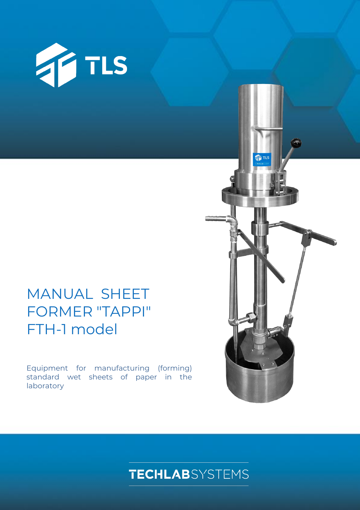

# MANUAL SHEET FORMER "TAPPI" FTH-1 model

Equipment for manufacturing (forming) standard wet sheets of paper in the laboratory



**TLS**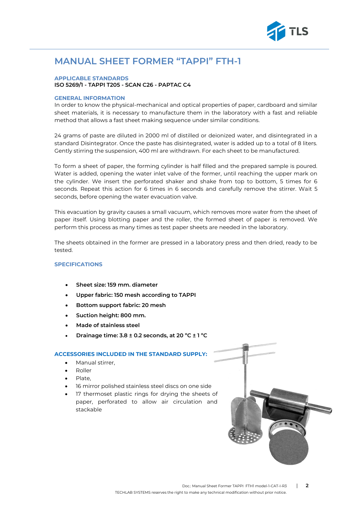

# **MANUAL SHEET FORMER "TAPPI" FTH-1**

### **APPLICABLE STANDARDS**

## **ISO 5269/1 - TAPPI T205 - SCAN C26 - PAPTAC C4**

#### **GENERAL INFORMATION**

In order to know the physical-mechanical and optical properties of paper, cardboard and similar sheet materials, it is necessary to manufacture them in the laboratory with a fast and reliable method that allows a fast sheet making sequence under similar conditions.

24 grams of paste are diluted in 2000 ml of distilled or deionized water, and disintegrated in a standard Disintegrator. Once the paste has disintegrated, water is added up to a total of 8 liters. Gently stirring the suspension, 400 ml are withdrawn. For each sheet to be manufactured.

To form a sheet of paper, the forming cylinder is half filled and the prepared sample is poured. Water is added, opening the water inlet valve of the former, until reaching the upper mark on the cylinder. We insert the perforated shaker and shake from top to bottom, 5 times for 6 seconds. Repeat this action for 6 times in 6 seconds and carefully remove the stirrer. Wait 5 seconds, before opening the water evacuation valve.

This evacuation by gravity causes a small vacuum, which removes more water from the sheet of paper itself. Using blotting paper and the roller, the formed sheet of paper is removed. We perform this process as many times as test paper sheets are needed in the laboratory.

The sheets obtained in the former are pressed in a laboratory press and then dried, ready to be tested.

#### **SPECIFICATIONS**

- **Sheet size: 159 mm. diameter**
- **Upper fabric: 150 mesh according to TAPPI**
- **Bottom support fabric: 20 mesh**
- **Suction height: 800 mm.**
- **Made of stainless steel**
- **Drainage time: 3.8 ± 0.2 seconds, at 20 ºC ± 1 ºC**

#### **ACCESSORIES INCLUDED IN THE STANDARD SUPPLY:**

- Manual stirrer,
- Roller
- Plate,
- 16 mirror polished stainless steel discs on one side
- 17 thermoset plastic rings for drying the sheets of paper, perforated to allow air circulation and stackable